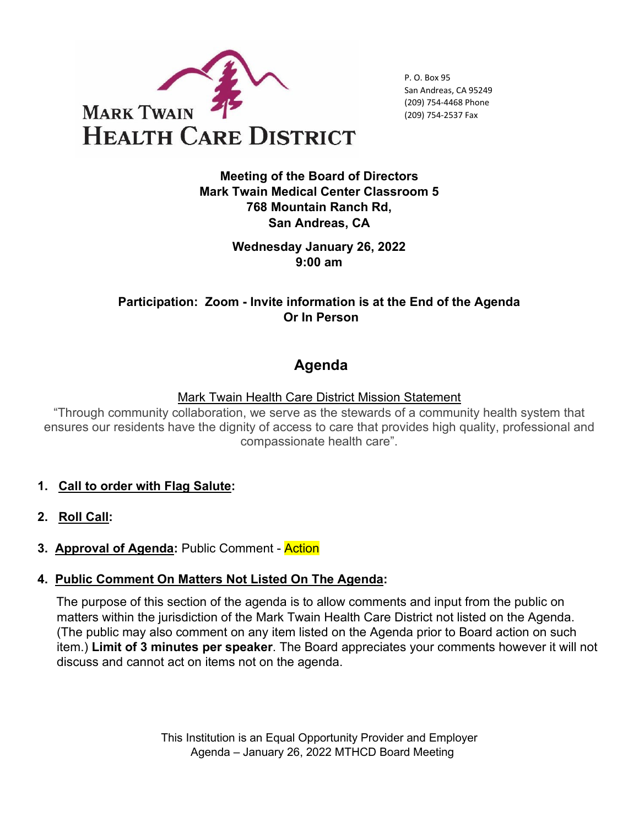

P. O. Box 95 San Andreas, CA 95249 (209) 754-4468 Phone (209) 754-2537 Fax

**Meeting of the Board of Directors Mark Twain Medical Center Classroom 5 768 Mountain Ranch Rd, San Andreas, CA** 

> **Wednesday January 26, 2022 9:00 am**

**Participation: Zoom - Invite information is at the End of the Agenda Or In Person**

# **Agenda**

Mark Twain Health Care District Mission Statement

"Through community collaboration, we serve as the stewards of a community health system that ensures our residents have the dignity of access to care that provides high quality, professional and compassionate health care".

- **1. Call to order with Flag Salute:**
- **2. Roll Call:**
- **3. Approval of Agenda:** Public Comment Action

#### **4. Public Comment On Matters Not Listed On The Agenda:**

The purpose of this section of the agenda is to allow comments and input from the public on matters within the jurisdiction of the Mark Twain Health Care District not listed on the Agenda. (The public may also comment on any item listed on the Agenda prior to Board action on such item.) **Limit of 3 minutes per speaker**. The Board appreciates your comments however it will not discuss and cannot act on items not on the agenda.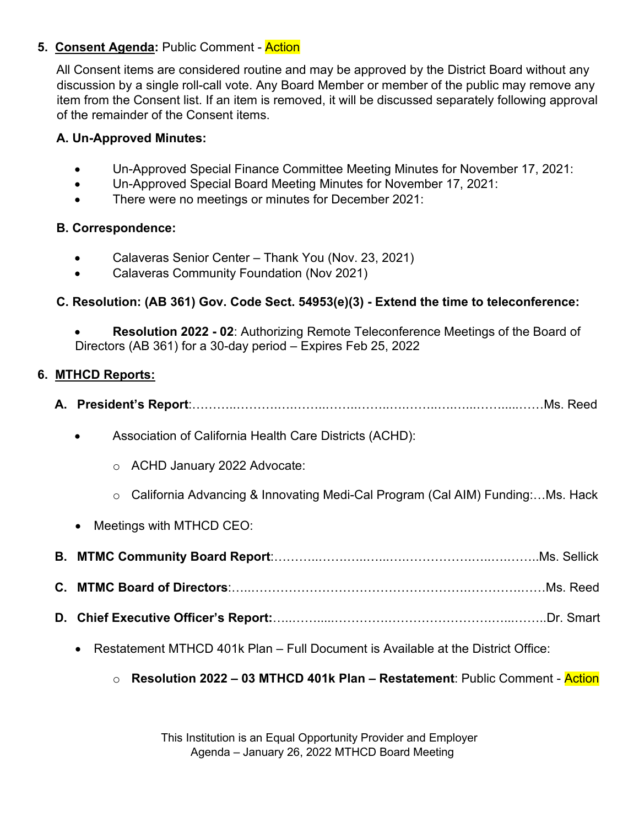## **5. Consent Agenda: Public Comment - Action**

All Consent items are considered routine and may be approved by the District Board without any discussion by a single roll-call vote. Any Board Member or member of the public may remove any item from the Consent list. If an item is removed, it will be discussed separately following approval of the remainder of the Consent items.

## **A. Un-Approved Minutes:**

- Un-Approved Special Finance Committee Meeting Minutes for November 17, 2021:
- Un-Approved Special Board Meeting Minutes for November 17, 2021:
- There were no meetings or minutes for December 2021:

#### **B. Correspondence:**

- Calaveras Senior Center Thank You (Nov. 23, 2021)
- Calaveras Community Foundation (Nov 2021)

## **C. Resolution: (AB 361) Gov. Code Sect. 54953(e)(3) - Extend the time to teleconference:**

• **Resolution 2022 - 02**: Authorizing Remote Teleconference Meetings of the Board of Directors (AB 361) for a 30-day period – Expires Feb 25, 2022

## **6. MTHCD Reports:**

- **A. President's Report**:………..……….….……..……..……..….……..….…...…….....……Ms. Reed
	- Association of California Health Care Districts (ACHD):
		- o ACHD January 2022 Advocate:
		- o California Advancing & Innovating Medi-Cal Program (Cal AIM) Funding:…Ms. Hack
	- Meetings with MTHCD CEO:
- **B. MTMC Community Board Report**:………..…….…..…...….…………….…..….……..Ms. Sellick
- **C. MTMC Board of Directors**:…..…………………………………………….………….……Ms. Reed
- **D. Chief Executive Officer's Report:**…..…….....………….…………………….…...……..Dr. Smart
	- Restatement MTHCD 401k Plan Full Document is Available at the District Office:

#### o **Resolution 2022 – 03 MTHCD 401k Plan – Restatement**: Public Comment - Action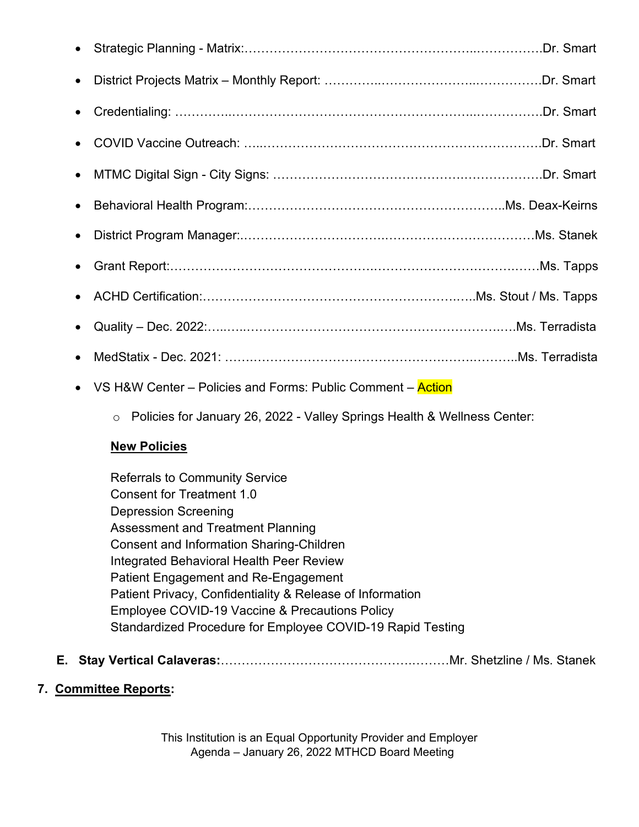| $\bullet$ |  |
|-----------|--|
| $\bullet$ |  |
|           |  |
|           |  |
|           |  |
| $\bullet$ |  |
|           |  |
|           |  |
| $\bullet$ |  |
| $\bullet$ |  |

- VS H&W Center Policies and Forms: Public Comment Action
	- o Policies for January 26, 2022 Valley Springs Health & Wellness Center:

## **New Policies**

Referrals to Community Service Consent for Treatment 1.0 Depression Screening Assessment and Treatment Planning Consent and Information Sharing-Children Integrated Behavioral Health Peer Review Patient Engagement and Re-Engagement Patient Privacy, Confidentiality & Release of Information Employee COVID-19 Vaccine & Precautions Policy Standardized Procedure for Employee COVID-19 Rapid Testing

- **E. Stay Vertical Calaveras:**……………………………………….………Mr. Shetzline / Ms. Stanek
- **7. Committee Reports:**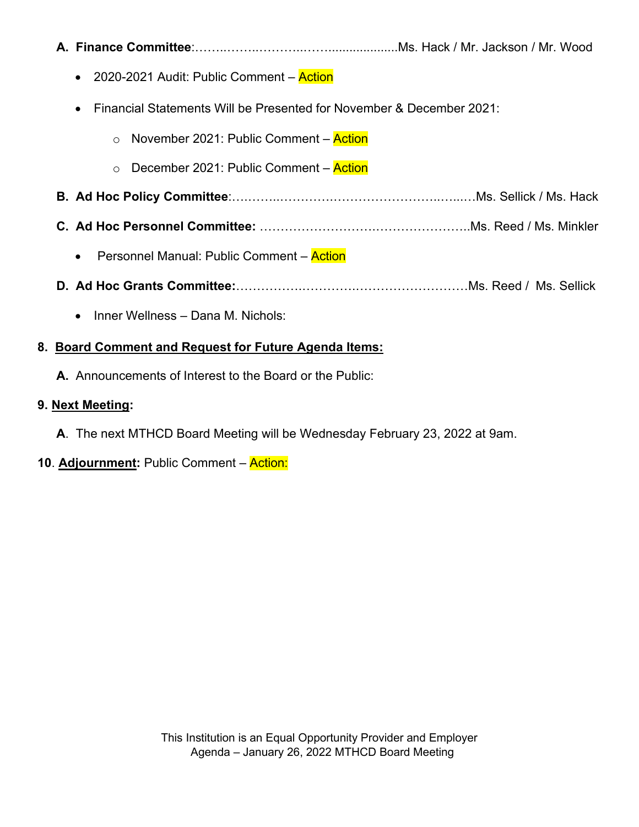| <b>A. Finance Committee</b> :………………………………………………Ms. Hack / Mr. Jackson / Mr. Wood  |
|-----------------------------------------------------------------------------------|
| 2020-2021 Audit: Public Comment - Action<br>$\bullet$                             |
| Financial Statements Will be Presented for November & December 2021:<br>$\bullet$ |
| November 2021: Public Comment – Action<br>$\circ$                                 |
| December 2021: Public Comment – Action<br>$\circ$                                 |
|                                                                                   |
|                                                                                   |
| Personnel Manual: Public Comment – Action<br>$\bullet$                            |
|                                                                                   |
| Inner Wellness - Dana M. Nichols:<br>$\bullet$                                    |
| 8. Board Comment and Request for Future Agenda Items:                             |

**A.** Announcements of Interest to the Board or the Public:

## **9. Next Meeting:**

- **A**. The next MTHCD Board Meeting will be Wednesday February 23, 2022 at 9am.
- **10**. **Adjournment:** Public Comment Action: